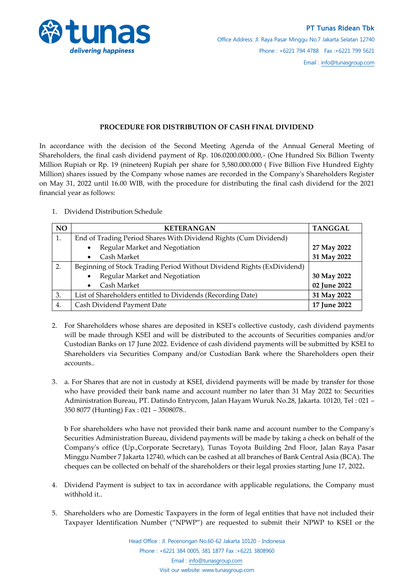

## **PROCEDURE FOR DISTRIBUTION OF CASH FINAL DIVIDEND**

In accordance with the decision of the Second Meeting Agenda of the Annual General Meeting of Shareholders, the final cash dividend payment of Rp. 106.0200.000.000,- (One Hundred Six Billion Twenty Million Rupiah or Rp. 19 (nineteen) Rupiah per share for 5,580.000.000 ( Five Billion Five Hundred Eighty Million) shares issued by the Company whose names are recorded in the Company's Shareholders Register on May 31, 2022 until 16.00 WIB, with the procedure for distributing the final cash dividend for the 2021 financial year as follows:

1. Dividend Distribution Schedule

| <b>NO</b> | <b>KETERANGAN</b>                                                      | <b>TANGGAL</b> |
|-----------|------------------------------------------------------------------------|----------------|
| 1.        | End of Trading Period Shares With Dividend Rights (Cum Dividend)       |                |
|           | Regular Market and Negotiation<br>$\bullet$                            | 27 May 2022    |
|           | Cash Market                                                            | 31 May 2022    |
| 2.        | Beginning of Stock Trading Period Without Dividend Rights (ExDividend) |                |
|           | Regular Market and Negotiation<br>$\bullet$                            | 30 May 2022    |
|           | Cash Market                                                            | 02 June 2022   |
| 3.        | List of Shareholders entitled to Dividends (Recording Date)            | 31 May 2022    |
| 4.        | Cash Dividend Payment Date                                             | 17 June 2022   |

- 2. For Shareholders whose shares are deposited in KSEI's collective custody, cash dividend payments will be made through KSEI and will be distributed to the accounts of Securities companies and/or Custodian Banks on 17 June 2022. Evidence of cash dividend payments will be submitted by KSEI to Shareholders via Securities Company and/or Custodian Bank where the Shareholders open their accounts..
- 3. a. For Shares that are not in custody at KSEI, dividend payments will be made by transfer for those who have provided their bank name and account number no later than 31 May 2022 to: Securities Administration Bureau, PT. Datindo Entrycom, Jalan Hayam Wuruk No.28, Jakarta. 10120, Tel : 021 – 350 8077 (Hunting) Fax : 021 – 3508078..

b For shareholders who have not provided their bank name and account number to the Company's Securities Administration Bureau, dividend payments will be made by taking a check on behalf of the Company's office (Up.,Corporate Secretary), Tunas Toyota Building 2nd Floor, Jalan Raya Pasar Minggu Number 7 Jakarta 12740, which can be cashed at all branches of Bank Central Asia (BCA). The cheques can be collected on behalf of the shareholders or their legal proxies starting June 17, 2022**.**

- 4. Dividend Payment is subject to tax in accordance with applicable regulations, the Company must withhold it..
- 5. Shareholders who are Domestic Taxpayers in the form of legal entities that have not included their Taxpayer Identification Number ("NPWP") are requested to submit their NPWP to KSEI or the